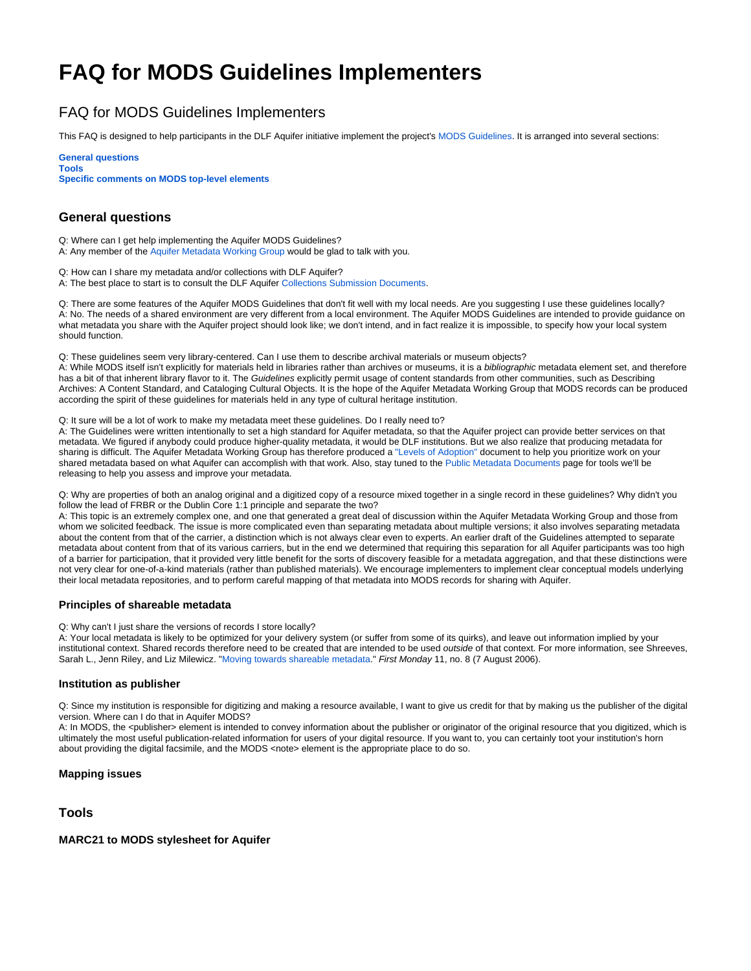# **FAQ for MODS Guidelines Implementers**

## FAQ for MODS Guidelines Implementers

This FAQ is designed to help participants in the DLF Aquifer initiative implement the project's [MODS Guidelines.](http://www.diglib.org/aquifer/dlfmodsimplementationguidelines_finalnov2006.pdf) It is arranged into several sections:

**[General questions](#page-0-0) [Tools](#page-0-1) [Specific comments on MODS top-level elements](#page-1-0)**

## <span id="page-0-0"></span>**General questions**

Q: Where can I get help implementing the Aquifer MODS Guidelines? A: Any member of the [Aquifer Metadata Working Group](https://wiki.dlib.indiana.edu/display/DLFAquifer/Aquifer+MWG+Roster) would be glad to talk with you.

Q: How can I share my metadata and/or collections with DLF Aquifer? A: The best place to start is to consult the DLF Aquifer [Collections Submission Documents](https://wiki.dlib.indiana.edu/display/DLFAquifer/Collection+Submission).

Q: There are some features of the Aquifer MODS Guidelines that don't fit well with my local needs. Are you suggesting I use these guidelines locally? A: No. The needs of a shared environment are very different from a local environment. The Aquifer MODS Guidelines are intended to provide guidance on what metadata you share with the Aquifer project should look like; we don't intend, and in fact realize it is impossible, to specify how your local system should function.

Q: These guidelines seem very library-centered. Can I use them to describe archival materials or museum objects?

A: While MODS itself isn't explicitly for materials held in libraries rather than archives or museums, it is a bibliographic metadata element set, and therefore has a bit of that inherent library flavor to it. The Guidelines explicitly permit usage of content standards from other communities, such as Describing Archives: A Content Standard, and Cataloging Cultural Objects. It is the hope of the Aquifer Metadata Working Group that MODS records can be produced according the spirit of these guidelines for materials held in any type of cultural heritage institution.

Q: It sure will be a lot of work to make my metadata meet these guidelines. Do I really need to?

A: The Guidelines were written intentionally to set a high standard for Aquifer metadata, so that the Aquifer project can provide better services on that metadata. We figured if anybody could produce higher-quality metadata, it would be DLF institutions. But we also realize that producing metadata for sharing is difficult. The Aquifer Metadata Working Group has therefore produced a ["Levels of Adoption"](https://wiki.dlib.indiana.edu/display/DLFAquifer/MODS+Guidelines+Levels+of+Adoption) document to help you prioritize work on your shared metadata based on what Aquifer can accomplish with that work. Also, stay tuned to the [Public Metadata Documents](https://wiki.dlib.indiana.edu/display/DLFAquifer/DLF+Aquifer+Public+Metadata+Documents) page for tools we'll be releasing to help you assess and improve your metadata.

Q: Why are properties of both an analog original and a digitized copy of a resource mixed together in a single record in these guidelines? Why didn't you follow the lead of FRBR or the Dublin Core 1:1 principle and separate the two?

A: This topic is an extremely complex one, and one that generated a great deal of discussion within the Aquifer Metadata Working Group and those from whom we solicited feedback. The issue is more complicated even than separating metadata about multiple versions; it also involves separating metadata about the content from that of the carrier, a distinction which is not always clear even to experts. An earlier draft of the Guidelines attempted to separate metadata about content from that of its various carriers, but in the end we determined that requiring this separation for all Aquifer participants was too high of a barrier for participation, that it provided very little benefit for the sorts of discovery feasible for a metadata aggregation, and that these distinctions were not very clear for one-of-a-kind materials (rather than published materials). We encourage implementers to implement clear conceptual models underlying their local metadata repositories, and to perform careful mapping of that metadata into MODS records for sharing with Aquifer.

#### **Principles of shareable metadata**

Q: Why can't I just share the versions of records I store locally?

A: Your local metadata is likely to be optimized for your delivery system (or suffer from some of its quirks), and leave out information implied by your institutional context. Shared records therefore need to be created that are intended to be used outside of that context. For more information, see Shreeves, Sarah L., Jenn Riley, and Liz Milewicz. ["Moving towards shareable metadata](http://www.firstmonday.org/issues/issue11_8/shreeves/index.html)." First Monday 11, no. 8 (7 August 2006).

#### **Institution as publisher**

Q: Since my institution is responsible for digitizing and making a resource available, I want to give us credit for that by making us the publisher of the digital version. Where can I do that in Aquifer MODS?

A: In MODS, the <publisher> element is intended to convey information about the publisher or originator of the original resource that you digitized, which is ultimately the most useful publication-related information for users of your digital resource. If you want to, you can certainly toot your institution's horn about providing the digital facsimile, and the MODS <note> element is the appropriate place to do so.

## **Mapping issues**

## <span id="page-0-1"></span>**Tools**

## **MARC21 to MODS stylesheet for Aquifer**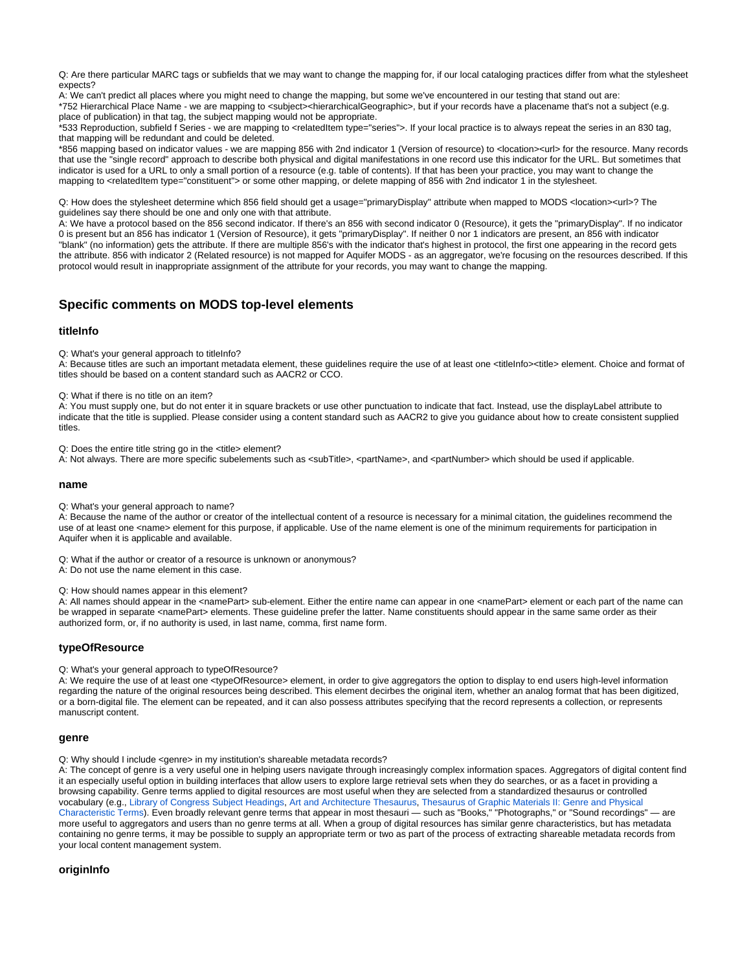Q: Are there particular MARC tags or subfields that we may want to change the mapping for, if our local cataloging practices differ from what the stylesheet expects?

A: We can't predict all places where you might need to change the mapping, but some we've encountered in our testing that stand out are: \*752 Hierarchical Place Name - we are mapping to <subject><hierarchicalGeographic>, but if your records have a placename that's not a subject (e.g. place of publication) in that tag, the subject mapping would not be appropriate.

\*533 Reproduction, subfield f Series - we are mapping to <relatedItem type="series">. If your local practice is to always repeat the series in an 830 tag, that mapping will be redundant and could be deleted.

\*856 mapping based on indicator values - we are mapping 856 with 2nd indicator 1 (Version of resource) to <location><url> for the resource. Many records that use the "single record" approach to describe both physical and digital manifestations in one record use this indicator for the URL. But sometimes that indicator is used for a URL to only a small portion of a resource (e.g. table of contents). If that has been your practice, you may want to change the mapping to <relatedItem type="constituent"> or some other mapping, or delete mapping of 856 with 2nd indicator 1 in the stylesheet.

Q: How does the stylesheet determine which 856 field should get a usage="primaryDisplay" attribute when mapped to MODS <location><url>? The guidelines say there should be one and only one with that attribute.

A: We have a protocol based on the 856 second indicator. If there's an 856 with second indicator 0 (Resource), it gets the "primaryDisplay". If no indicator 0 is present but an 856 has indicator 1 (Version of Resource), it gets "primaryDisplay". If neither 0 nor 1 indicators are present, an 856 with indicator "blank" (no information) gets the attribute. If there are multiple 856's with the indicator that's highest in protocol, the first one appearing in the record gets the attribute. 856 with indicator 2 (Related resource) is not mapped for Aquifer MODS - as an aggregator, we're focusing on the resources described. If this protocol would result in inappropriate assignment of the attribute for your records, you may want to change the mapping.

## <span id="page-1-0"></span>**Specific comments on MODS top-level elements**

#### **titleInfo**

Q: What's your general approach to titleInfo?

A: Because titles are such an important metadata element, these quidelines require the use of at least one <titleInfo><title> element. Choice and format of titles should be based on a content standard such as AACR2 or CCO.

Q: What if there is no title on an item?

A: You must supply one, but do not enter it in square brackets or use other punctuation to indicate that fact. Instead, use the displayLabel attribute to indicate that the title is supplied. Please consider using a content standard such as AACR2 to give you guidance about how to create consistent supplied titles.

Q: Does the entire title string go in the <title> element?

A: Not always. There are more specific subelements such as <subTitle>, <partName>, and <partNumber> which should be used if applicable.

#### **name**

Q: What's your general approach to name?

A: Because the name of the author or creator of the intellectual content of a resource is necessary for a minimal citation, the guidelines recommend the use of at least one <name> element for this purpose, if applicable. Use of the name element is one of the minimum requirements for participation in Aquifer when it is applicable and available.

Q: What if the author or creator of a resource is unknown or anonymous? A: Do not use the name element in this case.

Q: How should names appear in this element?

A: All names should appear in the <namePart> sub-element. Either the entire name can appear in one <namePart> element or each part of the name can be wrapped in separate <namePart> elements. These quideline prefer the latter. Name constituents should appear in the same same order as their authorized form, or, if no authority is used, in last name, comma, first name form.

## **typeOfResource**

Q: What's your general approach to typeOfResource?

A: We require the use of at least one <typeOfResource> element, in order to give aggregators the option to display to end users high-level information regarding the nature of the original resources being described. This element decirbes the original item, whether an analog format that has been digitized, or a born-digital file. The element can be repeated, and it can also possess attributes specifying that the record represents a collection, or represents manuscript content.

#### **genre**

Q: Why should I include <genre> in my institution's shareable metadata records?

A: The concept of genre is a very useful one in helping users navigate through increasingly complex information spaces. Aggregators of digital content find it an especially useful option in building interfaces that allow users to explore large retrieval sets when they do searches, or as a facet in providing a browsing capability. Genre terms applied to digital resources are most useful when they are selected from a standardized thesaurus or controlled vocabulary (e.g., [Library of Congress Subject Headings,](http://authorities.loc.gov/) [Art and Architecture Thesaurus,](http://www.getty.edu/research/conducting_research/vocabularies/aat/) [Thesaurus of Graphic Materials II: Genre and Physical](http://www.loc.gov/rr/print/tgm2/)  [Characteristic Terms](http://www.loc.gov/rr/print/tgm2/)). Even broadly relevant genre terms that appear in most thesauri — such as "Books," "Photographs," or "Sound recordings" — are more useful to aggregators and users than no genre terms at all. When a group of digital resources has similar genre characteristics, but has metadata containing no genre terms, it may be possible to supply an appropriate term or two as part of the process of extracting shareable metadata records from your local content management system.

#### **originInfo**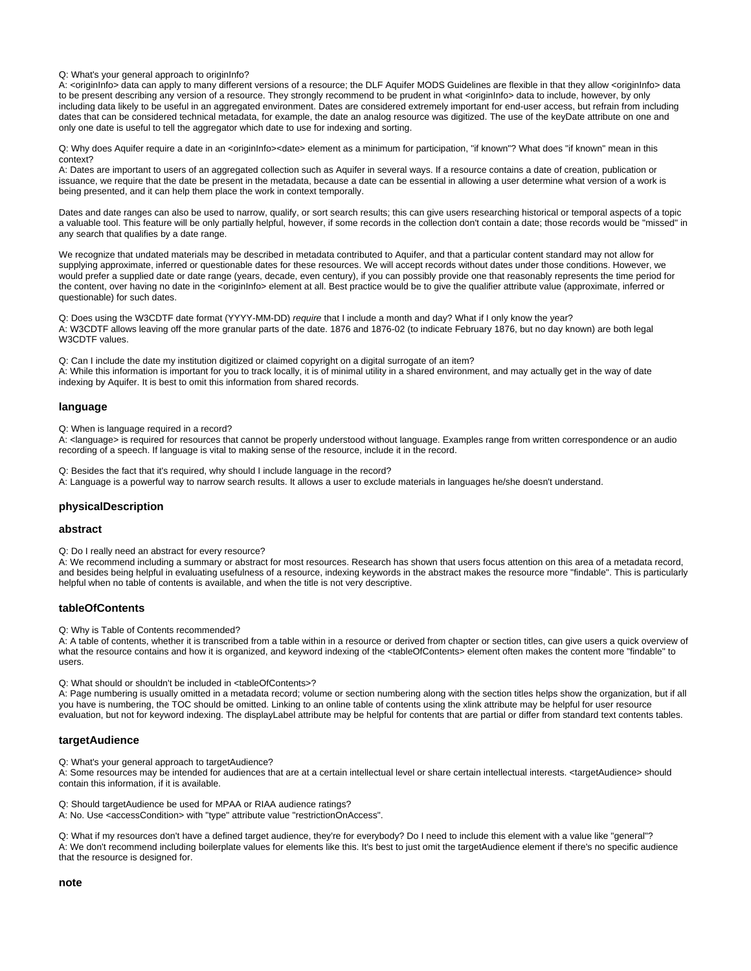Q: What's your general approach to originInfo?

A: <originInfo> data can apply to many different versions of a resource; the DLF Aquifer MODS Guidelines are flexible in that they allow <originInfo> data to be present describing any version of a resource. They strongly recommend to be prudent in what <originInfo> data to include, however, by only including data likely to be useful in an aggregated environment. Dates are considered extremely important for end-user access, but refrain from including dates that can be considered technical metadata, for example, the date an analog resource was digitized. The use of the keyDate attribute on one and only one date is useful to tell the aggregator which date to use for indexing and sorting.

Q: Why does Aquifer require a date in an <originInfo><date> element as a minimum for participation, "if known"? What does "if known" mean in this context?

A: Dates are important to users of an aggregated collection such as Aquifer in several ways. If a resource contains a date of creation, publication or issuance, we require that the date be present in the metadata, because a date can be essential in allowing a user determine what version of a work is being presented, and it can help them place the work in context temporally.

Dates and date ranges can also be used to narrow, qualify, or sort search results; this can give users researching historical or temporal aspects of a topic a valuable tool. This feature will be only partially helpful, however, if some records in the collection don't contain a date; those records would be "missed" in any search that qualifies by a date range.

We recognize that undated materials may be described in metadata contributed to Aquifer, and that a particular content standard may not allow for supplying approximate, inferred or questionable dates for these resources. We will accept records without dates under those conditions. However, we would prefer a supplied date or date range (years, decade, even century), if you can possibly provide one that reasonably represents the time period for the content, over having no date in the <originInfo> element at all. Best practice would be to give the qualifier attribute value (approximate, inferred or questionable) for such dates.

Q: Does using the W3CDTF date format (YYYY-MM-DD) require that I include a month and day? What if I only know the year? A: W3CDTF allows leaving off the more granular parts of the date. 1876 and 1876-02 (to indicate February 1876, but no day known) are both legal W3CDTF values.

Q: Can I include the date my institution digitized or claimed copyright on a digital surrogate of an item? A: While this information is important for you to track locally, it is of minimal utility in a shared environment, and may actually get in the way of date indexing by Aquifer. It is best to omit this information from shared records.

#### **language**

Q: When is language required in a record?

A: <language> is required for resources that cannot be properly understood without language. Examples range from written correspondence or an audio recording of a speech. If language is vital to making sense of the resource, include it in the record.

Q: Besides the fact that it's required, why should I include language in the record? A: Language is a powerful way to narrow search results. It allows a user to exclude materials in languages he/she doesn't understand.

#### **physicalDescription**

#### **abstract**

Q: Do I really need an abstract for every resource?

A: We recommend including a summary or abstract for most resources. Research has shown that users focus attention on this area of a metadata record, and besides being helpful in evaluating usefulness of a resource, indexing keywords in the abstract makes the resource more "findable". This is particularly helpful when no table of contents is available, and when the title is not very descriptive.

#### **tableOfContents**

Q: Why is Table of Contents recommended?

A: A table of contents, whether it is transcribed from a table within in a resource or derived from chapter or section titles, can give users a quick overview of what the resource contains and how it is organized, and keyword indexing of the <tableOfContents> element often makes the content more "findable" to users.

Q: What should or shouldn't be included in <tableOfContents>?

A: Page numbering is usually omitted in a metadata record; volume or section numbering along with the section titles helps show the organization, but if all you have is numbering, the TOC should be omitted. Linking to an online table of contents using the xlink attribute may be helpful for user resource evaluation, but not for keyword indexing. The displayLabel attribute may be helpful for contents that are partial or differ from standard text contents tables.

#### **targetAudience**

Q: What's your general approach to targetAudience?

A: Some resources may be intended for audiences that are at a certain intellectual level or share certain intellectual interests. <targetAudience> should contain this information, if it is available.

Q: Should targetAudience be used for MPAA or RIAA audience ratings?

A: No. Use <accessCondition> with "type" attribute value "restrictionOnAccess".

Q: What if my resources don't have a defined target audience, they're for everybody? Do I need to include this element with a value like "general"? A: We don't recommend including boilerplate values for elements like this. It's best to just omit the targetAudience element if there's no specific audience that the resource is designed for.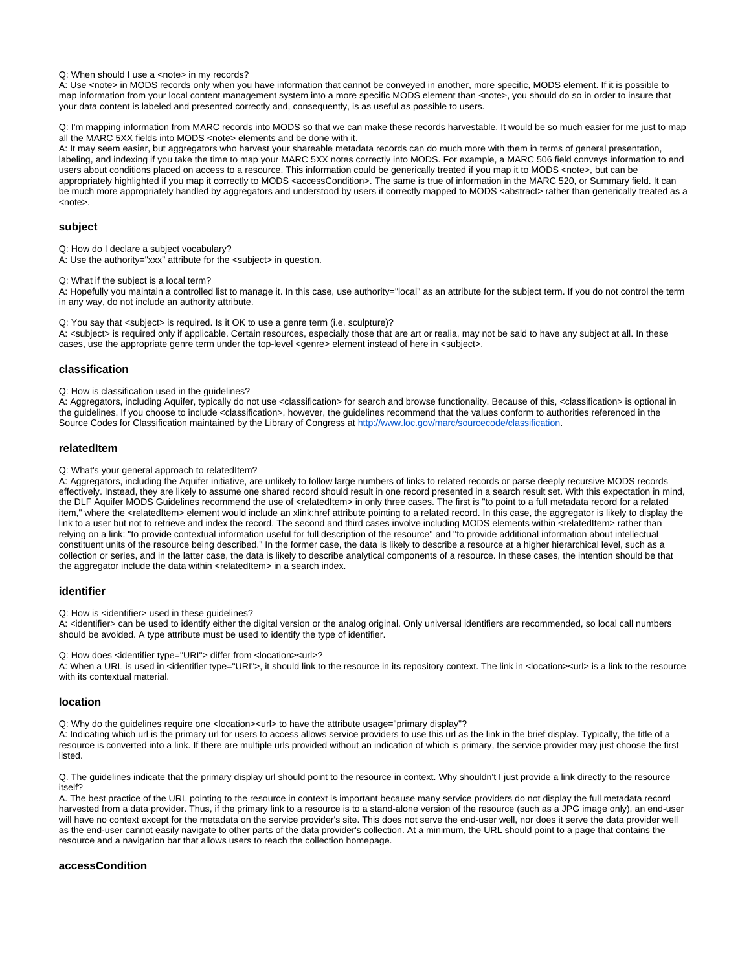Q: When should I use a <note> in my records?

A: Use <note> in MODS records only when you have information that cannot be conveyed in another, more specific, MODS element. If it is possible to map information from your local content management system into a more specific MODS element than <note>, you should do so in order to insure that your data content is labeled and presented correctly and, consequently, is as useful as possible to users.

Q: I'm mapping information from MARC records into MODS so that we can make these records harvestable. It would be so much easier for me just to map all the MARC 5XX fields into MODS <note> elements and be done with it.

A: It may seem easier, but aggregators who harvest your shareable metadata records can do much more with them in terms of general presentation, labeling, and indexing if you take the time to map your MARC 5XX notes correctly into MODS. For example, a MARC 506 field conveys information to end users about conditions placed on access to a resource. This information could be generically treated if you map it to MODS <note>, but can be appropriately highlighted if you map it correctly to MODS <accessCondition>. The same is true of information in the MARC 520, or Summary field. It can be much more appropriately handled by aggregators and understood by users if correctly mapped to MODS <abstract> rather than generically treated as a <note>.

#### **subject**

Q: How do I declare a subject vocabulary?

A: Use the authority="xxx" attribute for the <subject> in question.

Q: What if the subject is a local term?

A: Hopefully you maintain a controlled list to manage it. In this case, use authority="local" as an attribute for the subject term. If you do not control the term in any way, do not include an authority attribute.

Q: You say that <subject> is required. Is it OK to use a genre term (i.e. sculpture)?

A: <subject> is required only if applicable. Certain resources, especially those that are art or realia, may not be said to have any subject at all. In these cases, use the appropriate genre term under the top-level <genre> element instead of here in <subject>.

#### **classification**

Q: How is classification used in the guidelines?

A: Aggregators, including Aquifer, typically do not use <classification> for search and browse functionality. Because of this, <classification> is optional in the guidelines. If you choose to include <classification>, however, the guidelines recommend that the values conform to authorities referenced in the Source Codes for Classification maintained by the Library of Congress at [http://www.loc.gov/marc/sourcecode/classification.](http://www.loc.gov/marc/sourcecode/classification)

#### **relatedItem**

Q: What's your general approach to relatedItem?

A: Aggregators, including the Aquifer initiative, are unlikely to follow large numbers of links to related records or parse deeply recursive MODS records effectively. Instead, they are likely to assume one shared record should result in one record presented in a search result set. With this expectation in mind, the DLF Aquifer MODS Guidelines recommend the use of <relatedItem> in only three cases. The first is "to point to a full metadata record for a related item," where the <relatedItem> element would include an xlink:href attribute pointing to a related record. In this case, the aggregator is likely to display the link to a user but not to retrieve and index the record. The second and third cases involve including MODS elements within <relatedItem> rather than relying on a link: "to provide contextual information useful for full description of the resource" and "to provide additional information about intellectual constituent units of the resource being described." In the former case, the data is likely to describe a resource at a higher hierarchical level, such as a collection or series, and in the latter case, the data is likely to describe analytical components of a resource. In these cases, the intention should be that the aggregator include the data within <relatedItem> in a search index.

#### **identifier**

Q: How is <identifier> used in these quidelines?

A: <identifier> can be used to identify either the digital version or the analog original. Only universal identifiers are recommended, so local call numbers should be avoided. A type attribute must be used to identify the type of identifier.

Q: How does <identifier type="URI"> differ from <location><url>?

A: When a URL is used in <identifier type="URI">, it should link to the resource in its repository context. The link in <location><url> is a link to the resource with its contextual material.

#### **location**

Q: Why do the guidelines require one <location><url> to have the attribute usage="primary display"?

A: Indicating which url is the primary url for users to access allows service providers to use this url as the link in the brief display. Typically, the title of a resource is converted into a link. If there are multiple urls provided without an indication of which is primary, the service provider may just choose the first listed.

Q. The guidelines indicate that the primary display url should point to the resource in context. Why shouldn't I just provide a link directly to the resource itself?

A. The best practice of the URL pointing to the resource in context is important because many service providers do not display the full metadata record harvested from a data provider. Thus, if the primary link to a resource is to a stand-alone version of the resource (such as a JPG image only), an end-user will have no context except for the metadata on the service provider's site. This does not serve the end-user well, nor does it serve the data provider well as the end-user cannot easily navigate to other parts of the data provider's collection. At a minimum, the URL should point to a page that contains the resource and a navigation bar that allows users to reach the collection homepage.

#### **accessCondition**